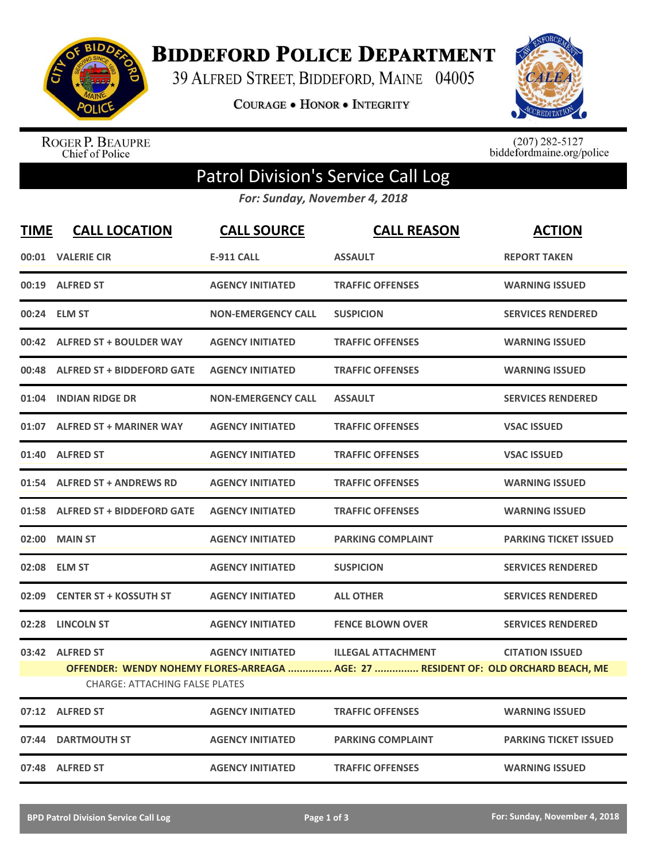

**BIDDEFORD POLICE DEPARTMENT** 

39 ALFRED STREET, BIDDEFORD, MAINE 04005

**COURAGE . HONOR . INTEGRITY** 



ROGER P. BEAUPRE<br>Chief of Police

 $(207)$  282-5127<br>biddefordmaine.org/police

## Patrol Division's Service Call Log

*For: Sunday, November 4, 2018*

| <b>TIME</b> | <b>CALL LOCATION</b>                                     | <b>CALL SOURCE</b>        | <b>CALL REASON</b>                                                                                              | <b>ACTION</b>                |
|-------------|----------------------------------------------------------|---------------------------|-----------------------------------------------------------------------------------------------------------------|------------------------------|
|             | 00:01 VALERIE CIR                                        | <b>E-911 CALL</b>         | <b>ASSAULT</b>                                                                                                  | <b>REPORT TAKEN</b>          |
|             | 00:19 ALFRED ST                                          | <b>AGENCY INITIATED</b>   | <b>TRAFFIC OFFENSES</b>                                                                                         | <b>WARNING ISSUED</b>        |
|             | 00:24 ELM ST                                             | <b>NON-EMERGENCY CALL</b> | <b>SUSPICION</b>                                                                                                | <b>SERVICES RENDERED</b>     |
| 00:42       | <b>ALFRED ST + BOULDER WAY</b>                           | <b>AGENCY INITIATED</b>   | <b>TRAFFIC OFFENSES</b>                                                                                         | <b>WARNING ISSUED</b>        |
| 00:48       | <b>ALFRED ST + BIDDEFORD GATE</b>                        | <b>AGENCY INITIATED</b>   | <b>TRAFFIC OFFENSES</b>                                                                                         | <b>WARNING ISSUED</b>        |
| 01:04       | <b>INDIAN RIDGE DR</b>                                   | <b>NON-EMERGENCY CALL</b> | <b>ASSAULT</b>                                                                                                  | <b>SERVICES RENDERED</b>     |
| 01:07       | <b>ALFRED ST + MARINER WAY</b>                           | <b>AGENCY INITIATED</b>   | <b>TRAFFIC OFFENSES</b>                                                                                         | <b>VSAC ISSUED</b>           |
| 01:40       | <b>ALFRED ST</b>                                         | <b>AGENCY INITIATED</b>   | <b>TRAFFIC OFFENSES</b>                                                                                         | <b>VSAC ISSUED</b>           |
|             | 01:54 ALFRED ST + ANDREWS RD                             | <b>AGENCY INITIATED</b>   | <b>TRAFFIC OFFENSES</b>                                                                                         | <b>WARNING ISSUED</b>        |
|             | 01:58 ALFRED ST + BIDDEFORD GATE                         | <b>AGENCY INITIATED</b>   | <b>TRAFFIC OFFENSES</b>                                                                                         | <b>WARNING ISSUED</b>        |
|             | 02:00 MAIN ST                                            | <b>AGENCY INITIATED</b>   | <b>PARKING COMPLAINT</b>                                                                                        | <b>PARKING TICKET ISSUED</b> |
|             | 02:08 ELM ST                                             | <b>AGENCY INITIATED</b>   | <b>SUSPICION</b>                                                                                                | <b>SERVICES RENDERED</b>     |
| 02:09       | <b>CENTER ST + KOSSUTH ST</b>                            | <b>AGENCY INITIATED</b>   | <b>ALL OTHER</b>                                                                                                | <b>SERVICES RENDERED</b>     |
| 02:28       | <b>LINCOLN ST</b>                                        | <b>AGENCY INITIATED</b>   | <b>FENCE BLOWN OVER</b>                                                                                         | <b>SERVICES RENDERED</b>     |
|             | 03:42 ALFRED ST<br><b>CHARGE: ATTACHING FALSE PLATES</b> | <b>AGENCY INITIATED</b>   | <b>ILLEGAL ATTACHMENT</b><br>OFFENDER: WENDY NOHEMY FLORES-ARREAGA  AGE: 27  RESIDENT OF: OLD ORCHARD BEACH, ME | <b>CITATION ISSUED</b>       |
|             | 07:12 ALFRED ST                                          | <b>AGENCY INITIATED</b>   | <b>TRAFFIC OFFENSES</b>                                                                                         | <b>WARNING ISSUED</b>        |
| 07:44       | <b>DARTMOUTH ST</b>                                      | <b>AGENCY INITIATED</b>   | <b>PARKING COMPLAINT</b>                                                                                        | <b>PARKING TICKET ISSUED</b> |
|             | 07:48 ALFRED ST                                          | <b>AGENCY INITIATED</b>   | <b>TRAFFIC OFFENSES</b>                                                                                         | <b>WARNING ISSUED</b>        |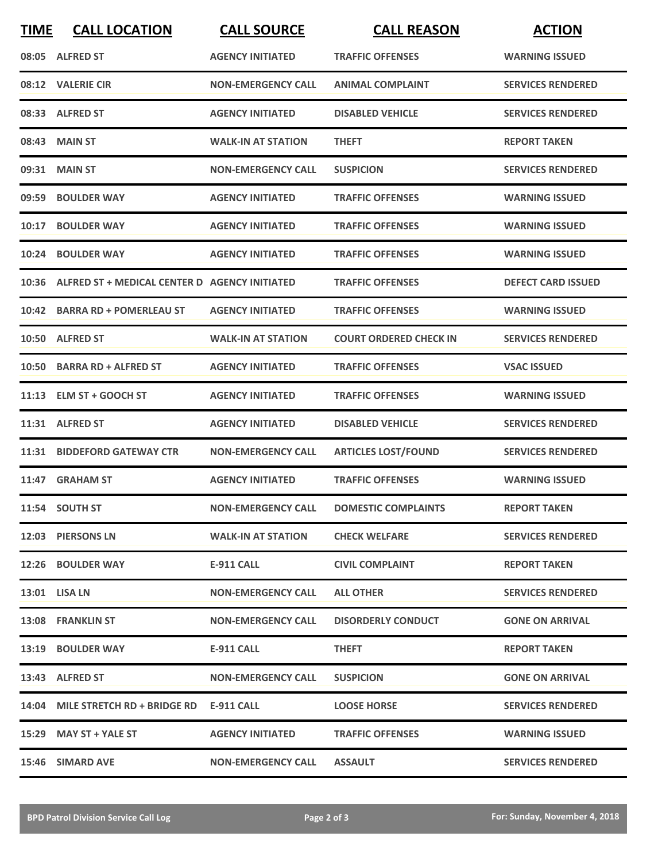| <b>TIME</b> | <b>CALL LOCATION</b>                                | <b>CALL SOURCE</b>        | <b>CALL REASON</b>            | <b>ACTION</b>             |
|-------------|-----------------------------------------------------|---------------------------|-------------------------------|---------------------------|
|             | 08:05 ALFRED ST                                     | <b>AGENCY INITIATED</b>   | <b>TRAFFIC OFFENSES</b>       | <b>WARNING ISSUED</b>     |
|             | 08:12 VALERIE CIR                                   | <b>NON-EMERGENCY CALL</b> | <b>ANIMAL COMPLAINT</b>       | <b>SERVICES RENDERED</b>  |
|             | 08:33 ALFRED ST                                     | <b>AGENCY INITIATED</b>   | <b>DISABLED VEHICLE</b>       | <b>SERVICES RENDERED</b>  |
|             | 08:43 MAIN ST                                       | <b>WALK-IN AT STATION</b> | <b>THEFT</b>                  | <b>REPORT TAKEN</b>       |
|             | 09:31 MAIN ST                                       | <b>NON-EMERGENCY CALL</b> | <b>SUSPICION</b>              | <b>SERVICES RENDERED</b>  |
|             | 09:59 BOULDER WAY                                   | <b>AGENCY INITIATED</b>   | <b>TRAFFIC OFFENSES</b>       | <b>WARNING ISSUED</b>     |
| 10:17       | <b>BOULDER WAY</b>                                  | <b>AGENCY INITIATED</b>   | <b>TRAFFIC OFFENSES</b>       | <b>WARNING ISSUED</b>     |
| 10:24       | <b>BOULDER WAY</b>                                  | <b>AGENCY INITIATED</b>   | <b>TRAFFIC OFFENSES</b>       | <b>WARNING ISSUED</b>     |
|             | 10:36 ALFRED ST + MEDICAL CENTER D AGENCY INITIATED |                           | <b>TRAFFIC OFFENSES</b>       | <b>DEFECT CARD ISSUED</b> |
|             | 10:42 BARRA RD + POMERLEAU ST                       | <b>AGENCY INITIATED</b>   | <b>TRAFFIC OFFENSES</b>       | <b>WARNING ISSUED</b>     |
|             | 10:50 ALFRED ST                                     | <b>WALK-IN AT STATION</b> | <b>COURT ORDERED CHECK IN</b> | <b>SERVICES RENDERED</b>  |
|             | 10:50 BARRA RD + ALFRED ST                          | <b>AGENCY INITIATED</b>   | <b>TRAFFIC OFFENSES</b>       | <b>VSAC ISSUED</b>        |
|             | 11:13 ELM ST + GOOCH ST                             | <b>AGENCY INITIATED</b>   | <b>TRAFFIC OFFENSES</b>       | <b>WARNING ISSUED</b>     |
|             | 11:31 ALFRED ST                                     | <b>AGENCY INITIATED</b>   | <b>DISABLED VEHICLE</b>       | <b>SERVICES RENDERED</b>  |
| 11:31       | <b>BIDDEFORD GATEWAY CTR</b>                        | <b>NON-EMERGENCY CALL</b> | <b>ARTICLES LOST/FOUND</b>    | <b>SERVICES RENDERED</b>  |
|             | 11:47 GRAHAM ST                                     | <b>AGENCY INITIATED</b>   | <b>TRAFFIC OFFENSES</b>       | <b>WARNING ISSUED</b>     |
|             | 11:54 SOUTH ST                                      | <b>NON-EMERGENCY CALL</b> | <b>DOMESTIC COMPLAINTS</b>    | <b>REPORT TAKEN</b>       |
|             | 12:03 PIERSONS LN                                   | <b>WALK-IN AT STATION</b> | <b>CHECK WELFARE</b>          | <b>SERVICES RENDERED</b>  |
|             | 12:26 BOULDER WAY                                   | E-911 CALL                | <b>CIVIL COMPLAINT</b>        | <b>REPORT TAKEN</b>       |
|             | 13:01 LISA LN                                       | <b>NON-EMERGENCY CALL</b> | <b>ALL OTHER</b>              | <b>SERVICES RENDERED</b>  |
|             | 13:08 FRANKLIN ST                                   | <b>NON-EMERGENCY CALL</b> | <b>DISORDERLY CONDUCT</b>     | <b>GONE ON ARRIVAL</b>    |
|             | 13:19 BOULDER WAY                                   | E-911 CALL                | <b>THEFT</b>                  | <b>REPORT TAKEN</b>       |
|             | 13:43 ALFRED ST                                     | <b>NON-EMERGENCY CALL</b> | <b>SUSPICION</b>              | <b>GONE ON ARRIVAL</b>    |
|             | 14:04 MILE STRETCH RD + BRIDGE RD                   | <b>E-911 CALL</b>         | <b>LOOSE HORSE</b>            | <b>SERVICES RENDERED</b>  |
|             | 15:29 MAY ST + YALE ST                              | <b>AGENCY INITIATED</b>   | <b>TRAFFIC OFFENSES</b>       | <b>WARNING ISSUED</b>     |
|             | 15:46 SIMARD AVE                                    | <b>NON-EMERGENCY CALL</b> | <b>ASSAULT</b>                | <b>SERVICES RENDERED</b>  |